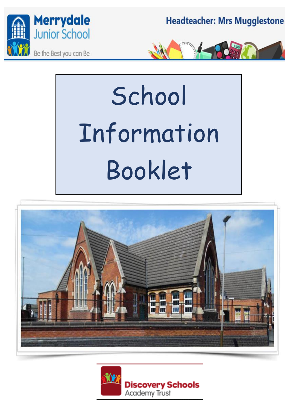

**Headteacher: Mrs Mugglestone** 



# **School** Information Booklet



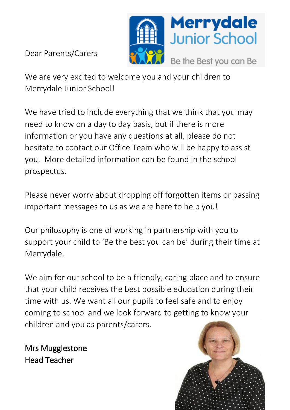

Dear Parents/Carers

We are very excited to welcome you and your children to Merrydale Junior School!

We have tried to include everything that we think that you may need to know on a day to day basis, but if there is more information or you have any questions at all, please do not hesitate to contact our Office Team who will be happy to assist you. More detailed information can be found in the school prospectus.

Please never worry about dropping off forgotten items or passing important messages to us as we are here to help you!

Our philosophy is one of working in partnership with you to support your child to 'Be the best you can be' during their time at Merrydale.

We aim for our school to be a friendly, caring place and to ensure that your child receives the best possible education during their time with us. We want all our pupils to feel safe and to enjoy coming to school and we look forward to getting to know your children and you as parents/carers.

Mrs Mugglestone Head Teacher

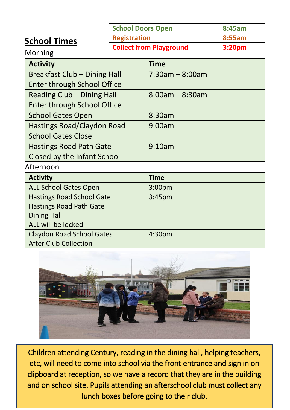### **School Times**

| School Doors Open              | 8:45am |
|--------------------------------|--------|
| <b>Registration</b>            | 8:55am |
| <b>Collect from Playground</b> | 3:20pm |

Morning

| <b>Activity</b>                    | <b>Time</b>           |
|------------------------------------|-----------------------|
| Breakfast Club - Dining Hall       | $7:30$ am – 8:00am    |
| <b>Enter through School Office</b> |                       |
| Reading Club - Dining Hall         | $8:00$ am – $8:30$ am |
| Enter through School Office        |                       |
| <b>School Gates Open</b>           | 8:30am                |
| Hastings Road/Claydon Road         | 9:00am                |
| <b>School Gates Close</b>          |                       |
| <b>Hastings Road Path Gate</b>     | 9:10am                |
| Closed by the Infant School        |                       |

### Afternoon

| <b>Activity</b>                  | <b>Time</b>        |
|----------------------------------|--------------------|
| <b>ALL School Gates Open</b>     | 3:00 <sub>pm</sub> |
| <b>Hastings Road School Gate</b> | 3:45 <sub>pm</sub> |
| <b>Hastings Road Path Gate</b>   |                    |
| <b>Dining Hall</b>               |                    |
| ALL will be locked               |                    |
| <b>Claydon Road School Gates</b> | 4:30 <sub>pm</sub> |
| After Club Collection            |                    |



Children attending Century, reading in the dining hall, helping teachers, etc, will need to come into school via the front entrance and sign in on clipboard at reception, so we have a record that they are in the building and on school site. Pupils attending an afterschool club must collect any lunch boxes before going to their club.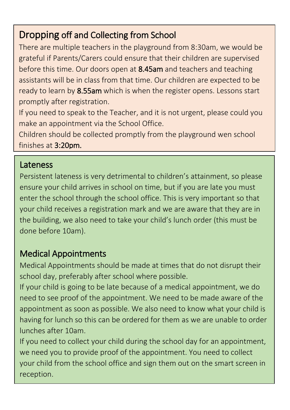# Dropping off and Collecting from School

There are multiple teachers in the playground from 8:30am, we would be grateful if Parents/Carers could ensure that their children are supervised before this time. Our doors open at 8.45am and teachers and teaching assistants will be in class from that time. Our children are expected to be ready to learn by 8.55am which is when the register opens. Lessons start promptly after registration.

If you need to speak to the Teacher, and it is not urgent, please could you make an appointment via the School Office.

Children should be collected promptly from the playground wen school finishes at 3:20pm.

## Lateness

Persistent lateness is very detrimental to children's attainment, so please ensure your child arrives in school on time, but if you are late you must enter the school through the school office. This is very important so that your child receives a registration mark and we are aware that they are in the building, we also need to take your child's lunch order (this must be done before 10am).

# Medical Appointments

Medical Appointments should be made at times that do not disrupt their school day, preferably after school where possible.

If your child is going to be late because of a medical appointment, we do need to see proof of the appointment. We need to be made aware of the appointment as soon as possible. We also need to know what your child is having for lunch so this can be ordered for them as we are unable to order lunches after 10am.

If you need to collect your child during the school day for an appointment, we need you to provide proof of the appointment. You need to collect your child from the school office and sign them out on the smart screen in reception.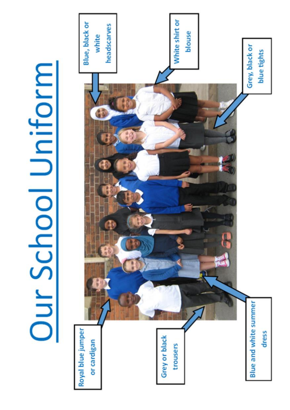# Our School Uniform

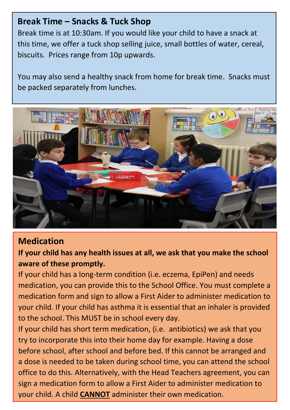### **Break Time – Snacks & Tuck Shop**

Break time is at 10:30am. If you would like your child to have a snack at this time, we offer a tuck shop selling juice, small bottles of water, cereal, biscuits. Prices range from 10p upwards.

You may also send a healthy snack from home for break time. Snacks must be packed separately from lunches.



### **Medication**

**If your child has any health issues at all, we ask that you make the school aware of these promptly.**

If your child has a long-term condition (i.e. eczema, EpiPen) and needs medication, you can provide this to the School Office. You must complete a medication form and sign to allow a First Aider to administer medication to your child. If your child has asthma it is essential that an inhaler is provided to the school. This MUST be in school every day.

If your child has short term medication, (i.e. antibiotics) we ask that you try to incorporate this into their home day for example. Having a dose before school, after school and before bed. If this cannot be arranged and a dose is needed to be taken during school time, you can attend the school office to do this. Alternatively, with the Head Teachers agreement, you can sign a medication form to allow a First Aider to administer medication to your child. A child **CANNOT** administer their own medication.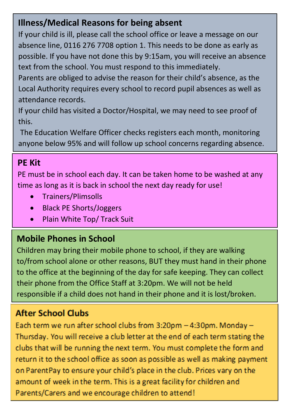# **Illness/Medical Reasons for being absent**

If your child is ill, please call the school office or leave a message on our absence line, 0116 276 7708 option 1. This needs to be done as early as possible. If you have not done this by 9:15am, you will receive an absence text from the school. You must respond to this immediately.

Parents are obliged to advise the reason for their child's absence, as the Local Authority requires every school to record pupil absences as well as attendance records.

If your child has visited a Doctor/Hospital, we may need to see proof of this.

The Education Welfare Officer checks registers each month, monitoring anyone below 95% and will follow up school concerns regarding absence.

### This may result in a penalty notice or legal action being taken. **PE Kit**

PE must be in school each day. It can be taken home to be washed at any time as long as it is back in school the next day ready for use!

- Trainers/Plimsolls
- Black PE Shorts/Joggers
- Plain White Top/ Track Suit

# **Mobile Phones in School**

Children may bring their mobile phone to school, if they are walking to/from school alone or other reasons, BUT they must hand in their phone to the office at the beginning of the day for safe keeping. They can collect their phone from the Office Staff at 3:20pm. We will not be held responsible if a child does not hand in their phone and it is lost/broken.

# **After School Clubs**

Each term we run after school clubs from 3:20pm - 4:30pm. Monday -Thursday. You will receive a club letter at the end of each term stating the clubs that will be running the next term. You must complete the form and return it to the school office as soon as possible as well as making payment on ParentPay to ensure your child's place in the club. Prices vary on the amount of week in the term. This is a great facility for children and Parents/Carers and we encourage children to attend!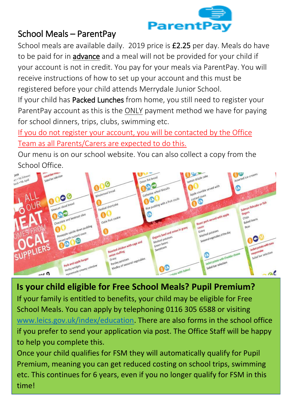

# School Meals – ParentPay

School meals are available daily. 2019 price is £2.25 per day. Meals do have to be paid for in **advance** and a meal will not be provided for your child if your account is not in credit. You pay for your meals via ParentPay. You will receive instructions of how to set up your account and this must be registered before your child attends Merrydale Junior School.

If your child has Packed Lunches from home, you still need to register your ParentPay account as this is the ONLY payment method we have for paying for school dinners, trips, clubs, swimming etc.

If you do not register your account, you will be contacted by the Office Team as all Parents/Carers are expected to do this.

Our menu is on our school website. You can also collect a copy from the School Office.



**Is your child eligible for Free School Meals? Pupil Premium?** If your family is entitled to benefits, your child may be eligible for Free School Meals. You can apply by telephoning 0116 305 6588 or visiting [www.leics.gov.uk/index/education.](http://www.leics.gov.uk/index/education) There are also forms in the school office if you prefer to send your application via post. The Office Staff will be happy to help you complete this.

Once your child qualifies for FSM they will automatically qualify for Pupil Premium, meaning you can get reduced costing on school trips, swimming etc. This continues for 6 years, even if you no longer qualify for FSM in this time!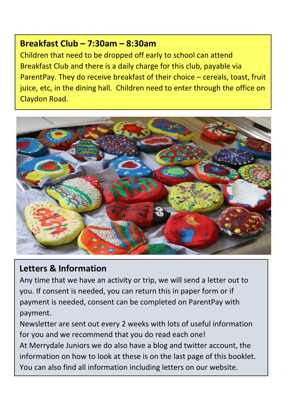### **Breakfast Club – 7:30am – 8:30am**

Children that need to be dropped off early to school can attend Breakfast Club and there is a daily charge for this club, payable via ParentPay. They do receive breakfast of their choice – cereals, toast, fruit juice, etc, in the dining hall. Children need to enter through the office on Claydon Road.



### **Letters & Information**

ww.merrydalejuniors.com

Any time that we have an activity or trip, we will send a letter out to you. If consent is needed, you can return this in paper form or if payment is needed, consent can be completed on ParentPay with payment.

Newsletter are sent out every 2 weeks with lots of useful information for you and we recommend that you do read each one!

At Merrydale Juniors we do also have a blog and twitter account, the information on how to look at these is on the last page of this booklet. You can also find all information including letters on our website.